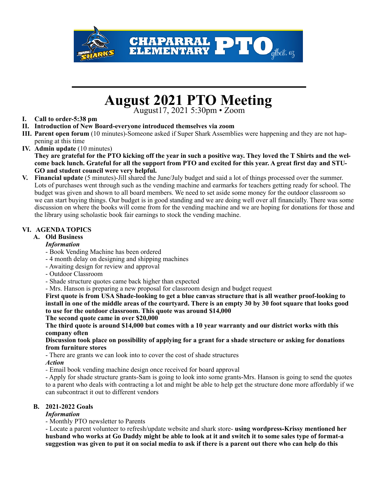

# August 2021 PTO Meeting<br>
August<sup>17, 2021 5:30pm • Zoom</sub></sup>

# **I. Call to order-5:38 pm**

- **II. Introduction of New Board-everyone introduced themselves via zoom**
- **III. Parent open forum** (10 minutes)-Someone asked if Super Shark Assemblies were happening and they are not happening at this time
- **IV. Admin update** (10 minutes)

**They are grateful for the PTO kicking off the year in such a positive way. They loved the T Shirts and the welcome back lunch. Grateful for all the support from PTO and excited for this year. A great first day and STU-GO and student council were very helpful.** 

**V. Financial update** (5 minutes)-Jill shared the June/July budget and said a lot of things processed over the summer. Lots of purchases went through such as the vending machine and earmarks for teachers getting ready for school. The budget was given and shown to all board members. We need to set aside some money for the outdoor classroom so we can start buying things. Our budget is in good standing and we are doing well over all financially. There was some discussion on where the books will come from for the vending machine and we are hoping for donations for those and the library using scholastic book fair earnings to stock the vending machine.

# **VI. AGENDA TOPICS**

# **A. Old Business**

#### *Information*

- Book Vending Machine has been ordered
- 4 month delay on designing and shipping machines
- Awaiting design for review and approval
- Outdoor Classroom
- Shade structure quotes came back higher than expected
- Mrs. Hanson is preparing a new proposal for classroom design and budget request

**First quote is from USA Shade-looking to get a blue canvas structure that is all weather proof-looking to install in one of the middle areas of the courtyard. There is an empty 30 by 30 foot square that looks good to use for the outdoor classroom. This quote was around \$14,000** 

#### **The second quote came in over \$20,000**

**The third quote is around \$14,000 but comes with a 10 year warranty and our district works with this company often** 

#### **Discussion took place on possibility of applying for a grant for a shade structure or asking for donations from furniture stores**

- There are grants we can look into to cover the cost of shade structures

*Action*

*-* Email book vending machine design once received for board approval

- Apply for shade structure grants-Sam is going to look into some grants-Mrs. Hanson is going to send the quotes to a parent who deals with contracting a lot and might be able to help get the structure done more affordably if we can subcontract it out to different vendors

#### **B. 2021-2022 Goals**

#### *Information*

- Monthly PTO newsletter to Parents

- Locate a parent volunteer to refresh/update website and shark store- **using wordpress-Krissy mentioned her husband who works at Go Daddy might be able to look at it and switch it to some sales type of format-a suggestion was given to put it on social media to ask if there is a parent out there who can help do this**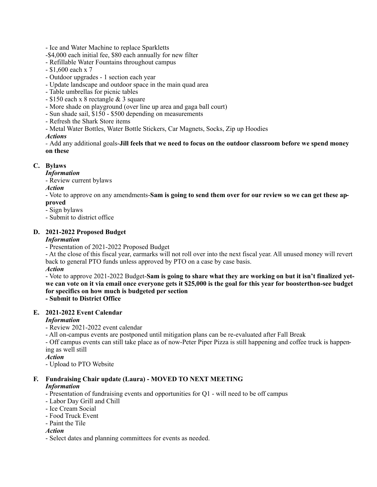- Ice and Water Machine to replace Sparkletts

- -\$4,000 each initial fee, \$80 each annually for new filter
- Refillable Water Fountains throughout campus
- \$1,600 each x 7
- Outdoor upgrades 1 section each year
- Update landscape and outdoor space in the main quad area
- Table umbrellas for picnic tables
- \$150 each x 8 rectangle & 3 square
- More shade on playground (over line up area and gaga ball court)
- Sun shade sail, \$150 \$500 depending on measurements
- Refresh the Shark Store items
- Metal Water Bottles, Water Bottle Stickers, Car Magnets, Socks, Zip up Hoodies

*Actions* 

*-* Add any additional goals-**Jill feels that we need to focus on the outdoor classroom before we spend money on these** 

# **C. Bylaws**

*Information*

- Review current bylaws

### *Action*

- Vote to approve on any amendments-**Sam is going to send them over for our review so we can get these approved** 

- Sign bylaws

- Submit to district office

### **D. 2021-2022 Proposed Budget**

#### *Information*

- Presentation of 2021-2022 Proposed Budget

- At the close of this fiscal year, earmarks will not roll over into the next fiscal year. All unused money will revert back to general PTO funds unless approved by PTO on a case by case basis.

#### *Action*

- Vote to approve 2021-2022 Budget-**Sam is going to share what they are working on but it isn't finalized yetwe can vote on it via email once everyone gets it \$25,000 is the goal for this year for boosterthon-see budget for specifics on how much is budgeted per section - Submit to District Office** 

# **E. 2021-2022 Event Calendar**

#### *Information*

- Review 2021-2022 event calendar

- All on-campus events are postponed until mitigation plans can be re-evaluated after Fall Break

- Off campus events can still take place as of now-Peter Piper Pizza is still happening and coffee truck is happening as well still

*Action*

- Upload to PTO Website

#### **F. Fundraising Chair update (Laura) - MOVED TO NEXT MEETING**  *Information*

- Presentation of fundraising events and opportunities for Q1 - will need to be off campus

- Labor Day Grill and Chill
- Ice Cream Social
- Food Truck Event
- Paint the Tile

#### *Action*

- Select dates and planning committees for events as needed.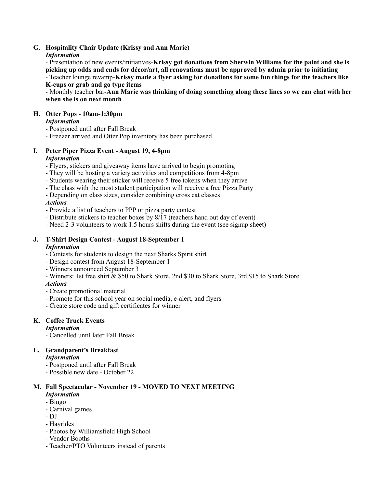## **G. Hospitality Chair Update (Krissy and Ann Marie)**

### *Information*

- Presentation of new events/initiatives-**Krissy got donations from Sherwin Williams for the paint and she is picking up odds and ends for décor/art, all renovations must be approved by admin prior to initiating** 

- Teacher lounge revamp-**Krissy made a flyer asking for donations for some fun things for the teachers like K-cups or grab and go type items** 

- Monthly teacher bar-**Ann Marie was thinking of doing something along these lines so we can chat with her when she is on next month** 

### **H. Otter Pops - 10am-1:30pm**

# *Information*

- Postponed until after Fall Break
- Freezer arrived and Otter Pop inventory has been purchased

#### **I. Peter Piper Pizza Event - August 19, 4-8pm**  *Information*

- Flyers, stickers and giveaway items have arrived to begin promoting
- They will be hosting a variety activities and competitions from 4-8pm
- Students wearing their sticker will receive 5 free tokens when they arrive
- The class with the most student participation will receive a free Pizza Party
- Depending on class sizes, consider combining cross cat classes

# *Actions*

- Provide a list of teachers to PPP or pizza party contest
- Distribute stickers to teacher boxes by 8/17 (teachers hand out day of event)
- Need 2-3 volunteers to work 1.5 hours shifts during the event (see signup sheet)

#### **J. T-Shirt Design Contest - August 18-September 1**  *Information*

- Contests for students to design the next Sharks Spirit shirt
- Design contest from August 18-September 1
- Winners announced September 3
- Winners: 1st free shirt & \$50 to Shark Store, 2nd \$30 to Shark Store, 3rd \$15 to Shark Store

#### *Actions*

- Create promotional material
- Promote for this school year on social media, e-alert, and flyers
- Create store code and gift certificates for winner

# **K. Coffee Truck Events**

#### *Information*

- Cancelled until later Fall Break

# **L. Grandparent's Breakfast**

#### *Information*

- Postponed until after Fall Break
- Possible new date October 22

# **M. Fall Spectacular - November 19 - MOVED TO NEXT MEETING**

# *Information*

- Bingo
- Carnival games
- DJ
- Hayrides
- Photos by Williamsfield High School
- Vendor Booths
- Teacher/PTO Volunteers instead of parents